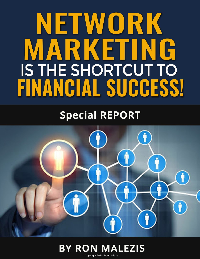## NETWORK MARKETING IS THE SHORTCUT TO FINANCIAL SUCCESS!

### **Special REPORT**





© Copyright 2020, Ron Malezis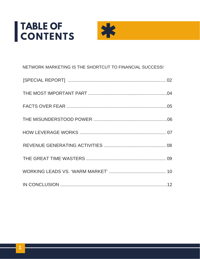# TABLE OF<br>CONTENTS



| NETWORK MARKETING IS THE SHORTCUT TO FINANCIAL SUCCESS! |
|---------------------------------------------------------|
|                                                         |
|                                                         |
|                                                         |
|                                                         |
|                                                         |
|                                                         |
|                                                         |
|                                                         |
|                                                         |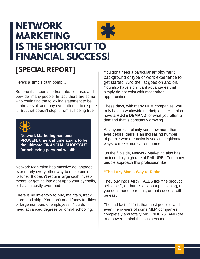### <span id="page-2-0"></span>**NETWORK MARKETING IS THE SHORTCUT TO FINANCIAL SUCCESS!**



#### **[SPECIAL REPORT]**

Here's a simple truth bomb…

But one that seems to frustrate, confuse, and bewilder many people. In fact, there are some who could find the following statement to be controversial, and may even attempt to dispute it. But that doesn't stop it from still being true.



**Network Marketing has been PROVEN, time and time again, to be the ultimate FINANCIAL SHORTCUT for achieving personal wealth.**

Network Marketing has massive advantages over nearly every other way to make one's fortune. It doesn't require large cash investments, or getting into debt up to your eyeballs, or having costly overhead.

There is no inventory to buy, maintain, track, store, and ship. You don't need fancy facilities or large numbers of employees. You don't need advanced degrees or formal schooling.

You don't need a particular employment background or type of work experience to get started. And the list goes on and on. You also have significant advantages that simply do not exist with most other opportunities.

These days, with many MLM companies, you truly have a worldwide marketplace. You also have a **HUGE DEMAND** for what you offer; a demand that is constantly growing.

As anyone can plainly see, now more than ever before, there is an increasing number of people who are actively seeking legitimate ways to make money from home.

On the flip side, Network Marketing also has an incredibly high rate of FAILURE. Too many people approach this profession like

#### **"The Lazy Man's Way to Riches".**

They buy into FAIRY TALES like "the product sells itself", or that it's all about positioning, or you don't need to recruit, or that success will be easy.

The sad fact of life is that most people - and even the owners of some MLM companies completely and totally MISUNDERSTAND the true power behind this business model.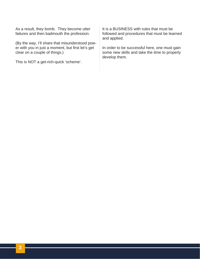As a result, they bomb. They become utter failures and then badmouth the profession.

(By the way, I'll share that misunderstood power with you in just a moment, but first let's get clear on a couple of things.)

This is NOT a get-rich-quick 'scheme'.

It is a BUSINESS with rules that must be followed and procedures that must be learned and applied.

In order to be successful here, one must gain some new skills and take the time to properly develop them.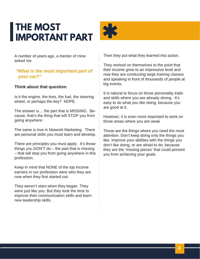### <span id="page-4-0"></span>**THE MOST IMPORTANT PART**



A number of years ago, a mentor of mine asked me

#### *"What is the most important part of your car?"*

#### **Think about that question**.

Is it the engine, the tires, the fuel, the steering wheel, or perhaps the key? NOPE.

The answer is… the part that is MISSING. Because, that's the thing that will STOP you from going anywhere.

The same is true in Network Marketing. There are personal skills you must learn and develop.

There are principles you must apply. It's those things you DON'T do – the part that is missing – that will stop you from going anywhere in this profession.

Keep in mind that NONE of the top income earners in our profession were who they are now when they first started out.

They weren't stars when they began. They were just like you. But they took the time to improve their communication skills and learn new leadership skills.

Then they put what they learned into action.

They worked on themselves to the point that their income grew to an impressive level and now they are conducting large training classes and speaking in front of thousands of people at big events.

It is natural to focus on those personality traits and skills where you are already strong. It's easy to do what you like doing, because you are good at it.

However, it is even more important to work on those areas where you are weak

Those are the things where you need the most attention. Don't keep doing only the things you like. Improve your abilities with the things you don't like doing, or are afraid to do, because they are the 'missing pieces' that could prevent you from achieving your goals.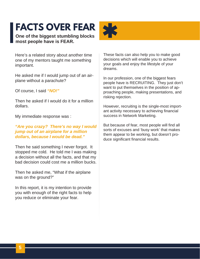### <span id="page-5-0"></span>**FACTS OVER FEAR**

**One of the biggest stumbling blocks most people have is FEAR.**



Here's a related story about another time one of my mentors taught me something important.

He asked me if I would jump out of an airplane without a parachute?

Of course, I said *"NO!"*

Then he asked if I would do it for a million dollars.

My immediate response was :

#### *"Are you crazy? There's no way I would jump out of an airplane for a million dollars, because I would be dead."*

Then he said something I never forgot. It stopped me cold. He told me I was making a decision without all the facts, and that my bad decision could cost me a million bucks.

Then he asked me, "What if the airplane was on the ground?"

In this report, it is my intention to provide you with enough of the right facts to help you reduce or eliminate your fear.

These facts can also help you to make good decisions which will enable you to achieve your goals and enjoy the lifestyle of your dreams.

In our profession, one of the biggest fears people have is RECRUITING. They just don't want to put themselves in the position of approaching people, making presentations, and risking rejection.

However, recruiting is the single-most important activity necessary to achieving financial success in Network Marketing.

But because of fear, most people will find all sorts of excuses and 'busy work' that makes them appear to be working, but doesn't produce significant financial results.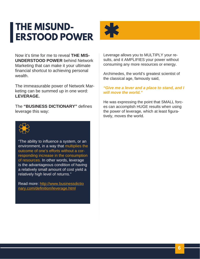### <span id="page-6-0"></span>**THE MISUND-ERSTOOD POWER**



Now it's time for me to reveal **THE MIS-UNDERSTOOD POWER** behind Network Marketing that can make it your ultimate financial shortcut to achieving personal wealth.

The immeasurable power of Network Marketing can be summed up in one word: **LEVERAGE.**

The **"BUSINESS DICTIONARY"** defines leverage this way:



"The ability to influence a system, or an environment, in a way that multiplies the outcome of one's efforts without a corresponding increase in the consumption of resources. In other words, leverage is the advantageous condition of having a relatively small amount of cost yield a relatively high level of returns."

Read more: <http://www.businessdictio>[nary.com/definition/leverage.html](http://www.businessdictionary.com/definition/leverage.html)

Leverage allows you to MULTIPLY your results, and it AMPLIFIES your power without consuming any more resources or energy.

Archimedes, the world's greatest scientist of the classical age, famously said,

#### *"Give me a lever and a place to stand, and I will move the world."*

He was expressing the point that SMALL forces can accomplish HUGE results when using the power of leverage, which at least figuratively, moves the world.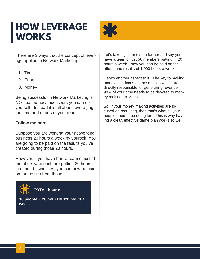### <span id="page-7-0"></span>**HOW LEVERAGE WORKS**



There are 3 ways that the concept of leverage applies to Network Marketing:

- 1. Time
- 2. Effort
- 3. Money

Being successful in Network Marketing is NOT based how much work you can do yourself. Instead it is all about leveraging the time and efforts of your team.

#### **Follow me here.**

Suppose you are working your networking business 20 hours a week by yourself. You are going to be paid on the results you've created during those 20 hours.

However, if you have built a team of just 16 members who each are putting 20 hours into their businesses, you can now be paid on the results from those



**16 people X 20 hours = 320 hours a week.**

Let's take it just one step further and say you have a team of just 50 members putting in 20 hours a week. Now you can be paid on the efforts and results of 1,000 hours a week.

Here's another aspect to it. The key to making money is to focus on those tasks which are directly responsible for generating revenue. 90% of your time needs to be devoted to money making activities.

So, if your money making activities are focused on recruiting, then that's what all your people need to be doing too. This is why having a clear, effective game plan works so well.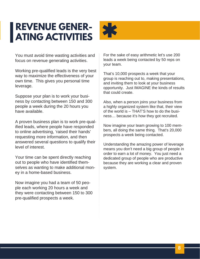### <span id="page-8-0"></span>**REVENUE GENER-ATING ACTIVITIES**



You must avoid time wasting activities and focus on revenue generating activities.

Working pre-qualified leads is the very best way to maximize the effectiveness of your own time. This gives you personal time leverage.

Suppose your plan is to work your business by contacting between 150 and 300 people a week during the 20 hours you have available.

A proven business plan is to work pre-qualified leads, where people have responded to online advertising, 'raised their hands' requesting more information, and then answered several questions to qualify their level of interest.

Your time can be spent directly reaching out to people who have identified themselves as wanting to make additional money in a home-based business.

Now imagine you had a team of 50 people each working 20 hours a week and they were contacting between 150 to 300 pre-qualified prospects a week.

For the sake of easy arithmetic let's use 200 leads a week being contacted by 50 reps on your team.

That's 10,000 prospects a week that your group is reaching out to, making presentations, and inviting them to look at your business opportunity. Just IMAGINE the kinds of results that could create.

Also, when a person joins your business from a highly organized system like that, their view of the world is – THAT'S how to do the business… because it's how they got recruited.

Now imagine your team growing to 100 members, all doing the same thing. That's 20,000 prospects a week being contacted.

Understanding the amazing power of leverage means you don't need a big group of people in order to earn a lot of money. You just need a dedicated group of people who are productive because they are working a clear and proven system.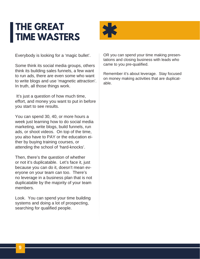### <span id="page-9-0"></span>**THE GREAT TIME WASTERS**



Everybody is looking for a 'magic bullet'.

Some think its social media groups, others think its building sales funnels, a few want to run ads, there are even some who want to write blogs and use 'magnetic attraction'. In truth, all those things work.

It's just a question of how much time, effort, and money you want to put in before you start to see results.

You can spend 30, 40, or more hours a week just learning how to do social media marketing, write blogs, build funnels, run ads, or shoot videos. On top of the time, you also have to PAY or the education either by buying training courses, or attending the school of 'hard-knocks'.

Then, there's the question of whether or not it's duplicatable. Let's face it, just because you can do it, doesn't mean everyone on your team can too. There's no leverage in a business plan that is not duplicatable by the majority of your team members.

Look. You can spend your time building systems and doing a lot of prospecting, searching for qualified people.

OR you can spend your time making presentations and closing business with leads who came to you pre-qualified.

Remember it's about leverage. Stay focused on money making activities that are duplicatable.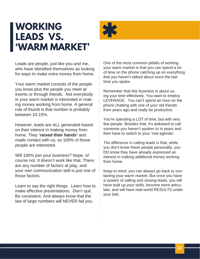### <span id="page-10-0"></span>**WORKING LEADS VS. 'WARM MARKET'**



Leads are people, just like you and me, who have identified themselves as looking for ways to make extra money from home.

Your warm market consists of the people you know plus the people you meet at events or through friends. Not everybody in your warm market is interested in making money working from home. A general rule of thumb is that number is probably between 10-15%.

However, leads are ALL generated based on their interest in making money from home. They *'raised their hands'* and made contact with us, so 100% of those people are interested.

Will 100% join your business? Nope, of course not. It doesn't work like that. There are any number of factors at play, and your own communication skill is just one of those factors.

Learn to say the right things. Learn how to make effective presentations. Don't quit. Be consistent. And always know that the law of large numbers will NEVER fail you.

One of the most common pitfalls of working your warm market is that you can spend a lot of time on the phone catching up on everything that you haven't talked about since the last time you spoke.

Remember that this business is about using your time effectively. You want to employ LEVERAGE. You can't spend an hour on the phone chatting with one of your old friends from years ago and really be productive.

You're spending a LOT of time, but with very few people. Besides that, it's awkward to call someone you haven't spoken to in years and then have to switch to your 'real agenda'.

The difference in calling leads is that, while you don't know these people personally, you DO know they have already expressed an interest in making additional money working from home.

Keep in mind, you can always go back to contacting your warm market. But once you have a system of calling and closing leads, you will have built up your skills, become more articulate, and will have real-world RESULTS under your belt.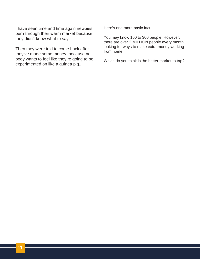I have seen time and time again newbies burn through their warm market because they didn't know what to say.

Then they were told to come back after they've made some money, because nobody wants to feel like they're going to be experimented on like a guinea pig..

Here's one more basic fact.

You may know 100 to 300 people. However, there are over 2 MILLION people every month looking for ways to make extra money working from home.

Which do you think is the better market to tap?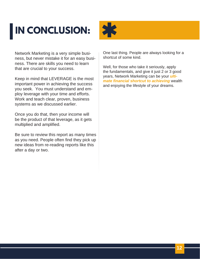## <span id="page-12-0"></span>**IN CONCLUSION:**



Network Marketing is a very simple business, but never mistake it for an easy business. There are skills you need to learn that are crucial to your success.

Keep in mind that LEVERAGE is the most important power in achieving the success you seek. You must understand and employ leverage with your time and efforts. Work and teach clear, proven, business systems as we discussed earlier.

Once you do that, then your income will be the product of that leverage, as it gets multiplied and amplified.

Be sure to review this report as many times as you need. People often find they pick up new ideas from re-reading reports like this after a day or two.

One last thing. People are always looking for a shortcut of some kind.

Well, for those who take it seriously, apply the fundamentals, and give it just 2 or 3 good years, Network Marketing can be your *ultimate financial shortcut to achieving* wealth and enjoying the lifestyle of your dreams.